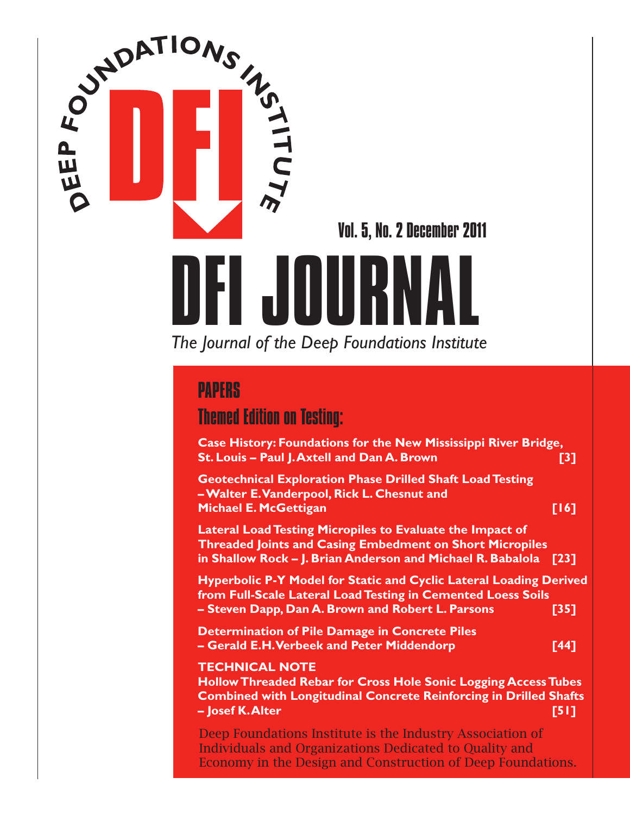

Vol. 5, No. 2 December 2011

# *The Journal of the Deep Foundations Institute* PAPERS

## Themed Edition on Testing:

**Case History: Foundations for the New Mississippi River Bridge, St. Louis – Paul J. Axtell and Dan A. Brown [3] Geotechnical Exploration Phase Drilled Shaft Load Testing – Walter E. Vanderpool, Rick L. Chesnut and Michael E. McGettigan [16] Lateral Load Testing Micropiles to Evaluate the Impact of Threaded Joints and Casing Embedment on Short Micropiles in Shallow Rock – J. Brian Anderson and Michael R. Babalola [23] Hyperbolic P-Y Model for Static and Cyclic Lateral Loading Derived from Full-Scale Lateral Load Testing in Cemented Loess Soils – Steven Dapp, Dan A. Brown and Robert L. Parsons [35] Determination of Pile Damage in Concrete Piles – Gerald E.H. Verbeek and Peter Middendorp [44] TECHNICAL NOTE Hollow Threaded Rebar for Cross Hole Sonic Logging Access Tubes Combined with Longitudinal Concrete Reinforcing in Drilled Shafts – Josef K. Alter [51]**

Deep Foundations Institute is the Industry Association of Individuals and Organizations Dedicated to Quality and Economy in the Design and Construction of Deep Foundations.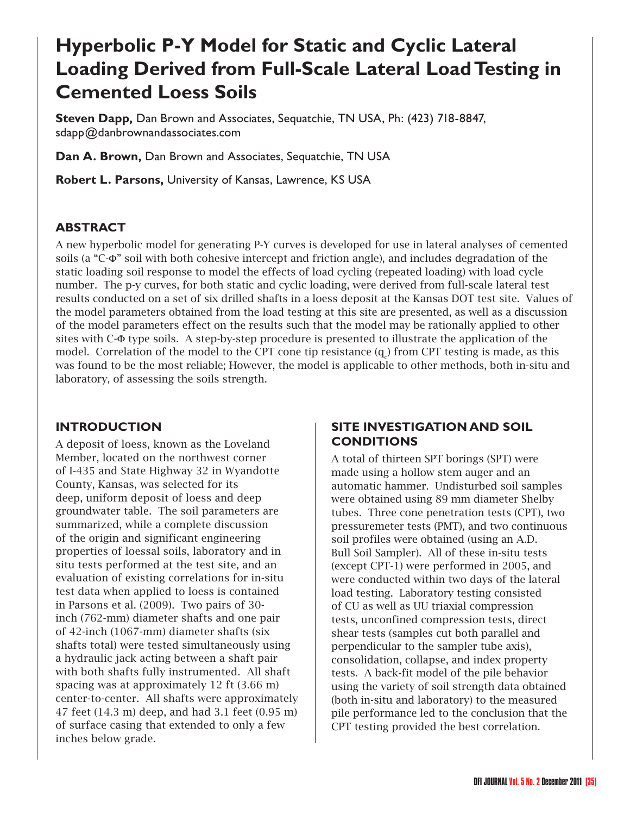# **Hyperbolic P-Y Model for Static and Cyclic Lateral Loading Derived from Full-Scale Lateral Load Testing in Cemented Loess Soils**

**Steven Dapp,** Dan Brown and Associates, Sequatchie, TN USA, Ph: (423) 718-8847, sdapp@danbrownandassociates.com

**Dan A. Brown,** Dan Brown and Associates, Sequatchie, TN USA

**Robert L. Parsons,** University of Kansas, Lawrence, KS USA

#### **ABSTRACT**

A new hyperbolic model for generating P-Y curves is developed for use in lateral analyses of cemented soils (a "C-Φ" soil with both cohesive intercept and friction angle), and includes degradation of the static loading soil response to model the effects of load cycling (repeated loading) with load cycle number. The p-y curves, for both static and cyclic loading, were derived from full-scale lateral test results conducted on a set of six drilled shafts in a loess deposit at the Kansas DOT test site. Values of the model parameters obtained from the load testing at this site are presented, as well as a discussion of the model parameters effect on the results such that the model may be rationally applied to other sites with C-Φ type soils. A step-by-step procedure is presented to illustrate the application of the model. Correlation of the model to the CPT cone tip resistance  $(q_c)$  from CPT testing is made, as this was found to be the most reliable; However, the model is applicable to other methods, both in-situ and laboratory, of assessing the soils strength.

#### **INTRODUCTION**

A deposit of loess, known as the Loveland Member, located on the northwest corner of I-435 and State Highway 32 in Wyandotte County, Kansas, was selected for its deep, uniform deposit of loess and deep groundwater table. The soil parameters are summarized, while a complete discussion of the origin and significant engineering properties of loessal soils, laboratory and in situ tests performed at the test site, and an evaluation of existing correlations for in-situ test data when applied to loess is contained in Parsons et al. (2009). Two pairs of 30 inch (762-mm) diameter shafts and one pair of 42-inch (1067-mm) diameter shafts (six shafts total) were tested simultaneously using a hydraulic jack acting between a shaft pair with both shafts fully instrumented. All shaft spacing was at approximately 12 ft (3.66 m) center-to-center. All shafts were approximately 47 feet (14.3 m) deep, and had 3.1 feet (0.95 m) of surface casing that extended to only a few inches below grade.

#### **SITE INVESTIGATION AND SOIL CONDITIONS**

A total of thirteen SPT borings (SPT) were made using a hollow stem auger and an automatic hammer. Undisturbed soil samples were obtained using 89 mm diameter Shelby tubes. Three cone penetration tests (CPT), two pressuremeter tests (PMT), and two continuous soil profiles were obtained (using an A.D. Bull Soil Sampler). All of these in-situ tests (except CPT-1) were performed in 2005, and were conducted within two days of the lateral load testing. Laboratory testing consisted of CU as well as UU triaxial compression tests, unconfined compression tests, direct shear tests (samples cut both parallel and perpendicular to the sampler tube axis), consolidation, collapse, and index property tests. A back-fit model of the pile behavior using the variety of soil strength data obtained (both in-situ and laboratory) to the measured pile performance led to the conclusion that the CPT testing provided the best correlation.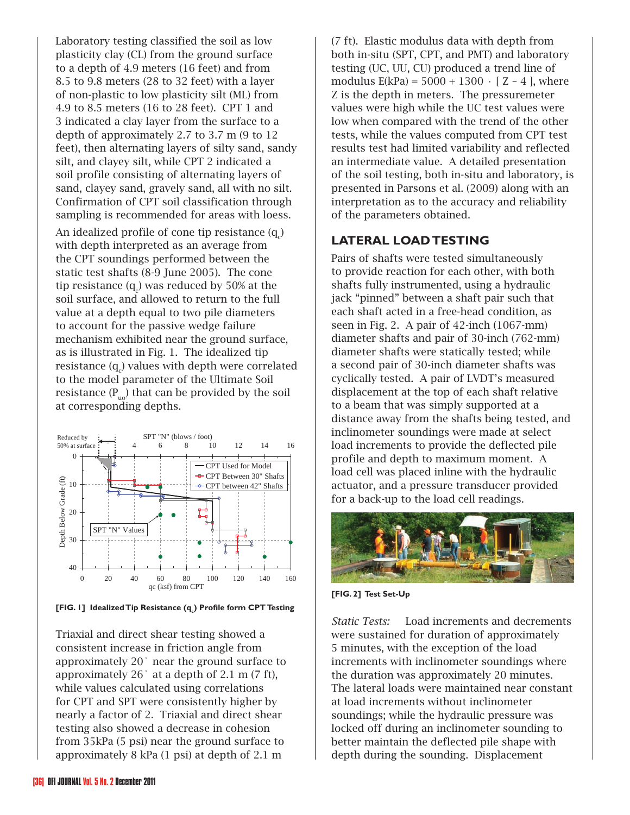Laboratory testing classified the soil as low plasticity clay (CL) from the ground surface to a depth of 4.9 meters (16 feet) and from 8.5 to 9.8 meters (28 to 32 feet) with a layer of non-plastic to low plasticity silt (ML) from 4.9 to 8.5 meters (16 to 28 feet). CPT 1 and 3 indicated a clay layer from the surface to a depth of approximately 2.7 to 3.7 m (9 to 12 feet), then alternating layers of silty sand, sandy silt, and clayey silt, while CPT 2 indicated a soil profile consisting of alternating layers of sand, clayey sand, gravely sand, all with no silt. Confirmation of CPT soil classification through sampling is recommended for areas with loess.

An idealized profile of cone tip resistance  $(\mathbf{q}_{\mathrm{c}}^{})$ with depth interpreted as an average from the CPT soundings performed between the static test shafts (8-9 June 2005). The cone tip resistance (q $_{\rm c}$ ) was reduced by 50% at the soil surface, and allowed to return to the full value at a depth equal to two pile diameters to account for the passive wedge failure mechanism exhibited near the ground surface, as is illustrated in Fig. 1. The idealized tip resistance (q $_{\rm c}$ ) values with depth were correlated to the model parameter of the Ultimate Soil resistance  $(P_{\text{no}})$  that can be provided by the soil at corresponding depths.



**[FIG. 1] Idealized Tip Resistance (q<sub>c</sub>) Profile form CPT Testing** 

Triaxial and direct shear testing showed a consistent increase in friction angle from approximately 20˚ near the ground surface to approximately 26˚ at a depth of 2.1 m (7 ft), while values calculated using correlations for CPT and SPT were consistently higher by nearly a factor of 2. Triaxial and direct shear testing also showed a decrease in cohesion from 35kPa (5 psi) near the ground surface to approximately 8 kPa (1 psi) at depth of 2.1 m

(7 ft). Elastic modulus data with depth from both in-situ (SPT, CPT, and PMT) and laboratory testing (UC, UU, CU) produced a trend line of modulus E(kPa) =  $5000 + 1300 \cdot$  [ Z – 4 ], where Z is the depth in meters. The pressuremeter values were high while the UC test values were low when compared with the trend of the other tests, while the values computed from CPT test results test had limited variability and reflected an intermediate value. A detailed presentation of the soil testing, both in-situ and laboratory, is presented in Parsons et al. (2009) along with an interpretation as to the accuracy and reliability of the parameters obtained.

#### **LATERAL LOAD TESTING**

Pairs of shafts were tested simultaneously to provide reaction for each other, with both shafts fully instrumented, using a hydraulic jack "pinned" between a shaft pair such that each shaft acted in a free-head condition, as seen in Fig. 2. A pair of 42-inch (1067-mm) diameter shafts and pair of 30-inch (762-mm) diameter shafts were statically tested; while a second pair of 30-inch diameter shafts was cyclically tested. A pair of LVDT's measured displacement at the top of each shaft relative to a beam that was simply supported at a distance away from the shafts being tested, and inclinometer soundings were made at select load increments to provide the deflected pile profile and depth to maximum moment. A load cell was placed inline with the hydraulic actuator, and a pressure transducer provided for a back-up to the load cell readings.



**[FIG. 2] Test Set-Up**

*Static Tests:* Load increments and decrements were sustained for duration of approximately 5 minutes, with the exception of the load increments with inclinometer soundings where the duration was approximately 20 minutes. The lateral loads were maintained near constant at load increments without inclinometer soundings; while the hydraulic pressure was locked off during an inclinometer sounding to better maintain the deflected pile shape with depth during the sounding. Displacement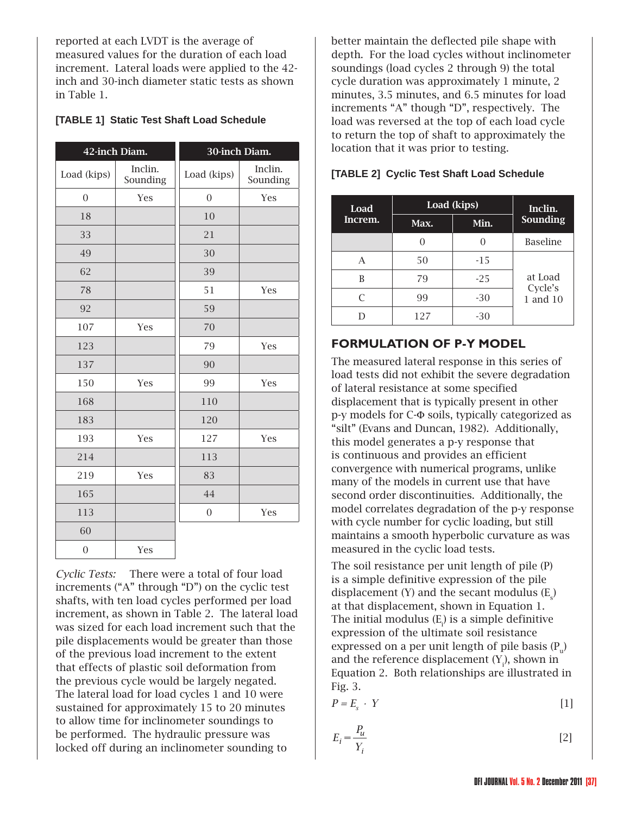reported at each LVDT is the average of measured values for the duration of each load increment. Lateral loads were applied to the 42 inch and 30-inch diameter static tests as shown in Table 1.

#### **[TABLE 1] Static Test Shaft Load Schedule**

| 42-inch Diam.    |                     | 30-inch Diam.    |                     |
|------------------|---------------------|------------------|---------------------|
| Load (kips)      | Inclin.<br>Sounding | Load (kips)      | Inclin.<br>Sounding |
| $\overline{0}$   | Yes                 | $\boldsymbol{0}$ | Yes                 |
| 18               |                     | 10               |                     |
| 33               |                     | 21               |                     |
| 49               |                     | 30               |                     |
| 62               |                     | 39               |                     |
| 78               |                     | 51               | Yes                 |
| 92               |                     | 59               |                     |
| 107              | Yes                 | 70               |                     |
| 123              |                     | 79               | Yes                 |
| 137              |                     | 90               |                     |
| 150              | Yes                 | 99               | Yes                 |
| 168              |                     | 110              |                     |
| 183              |                     | 120              |                     |
| 193              | Yes                 | 127              | Yes                 |
| 214              |                     | 113              |                     |
| 219              | Yes                 | 83               |                     |
| 165              |                     | 44               |                     |
| 113              |                     | $\theta$         | Yes                 |
| 60               |                     |                  |                     |
| $\boldsymbol{0}$ | Yes                 |                  |                     |

*Cyclic Tests:* There were a total of four load increments ("A" through "D") on the cyclic test shafts, with ten load cycles performed per load increment, as shown in Table 2. The lateral load was sized for each load increment such that the pile displacements would be greater than those of the previous load increment to the extent that effects of plastic soil deformation from the previous cycle would be largely negated. The lateral load for load cycles 1 and 10 were sustained for approximately 15 to 20 minutes to allow time for inclinometer soundings to be performed. The hydraulic pressure was locked off during an inclinometer sounding to

better maintain the deflected pile shape with depth. For the load cycles without inclinometer soundings (load cycles 2 through 9) the total cycle duration was approximately 1 minute, 2 minutes, 3.5 minutes, and 6.5 minutes for load increments "A" though "D", respectively. The load was reversed at the top of each load cycle to return the top of shaft to approximately the location that it was prior to testing.

| Load<br>Increm. | Load (kips) |       | Inclin.                        |
|-----------------|-------------|-------|--------------------------------|
|                 | Max.        | Min.  | Sounding                       |
|                 |             |       | Baseline                       |
|                 | 50          | $-15$ | at Load<br>Cycle's<br>1 and 10 |
| B               | 79          | $-25$ |                                |
| C               | 99          | $-30$ |                                |
|                 | 127         | -30   |                                |

#### **[TABLE 2] Cyclic Test Shaft Load Schedule**

#### **FORMULATION OF P-Y MODEL**

The measured lateral response in this series of load tests did not exhibit the severe degradation of lateral resistance at some specified displacement that is typically present in other p-y models for C-Φ soils, typically categorized as "silt" (Evans and Duncan, 1982). Additionally, this model generates a p-y response that is continuous and provides an efficient convergence with numerical programs, unlike many of the models in current use that have second order discontinuities. Additionally, the model correlates degradation of the p-y response with cycle number for cyclic loading, but still maintains a smooth hyperbolic curvature as was measured in the cyclic load tests.

The soil resistance per unit length of pile (P) is a simple definitive expression of the pile displacement  $(Y)$  and the secant modulus  $(E_s)$ at that displacement, shown in Equation 1. The initial modulus  $(E_i)$  is a simple definitive expression of the ultimate soil resistance expressed on a per unit length of pile basis  $(P_n)$ and the reference displacement  $(Y_i)$ , shown in Equation 2. Both relationships are illustrated in Fig. 3.

$$
P = E_s \cdot Y \tag{1}
$$

$$
E_i = \frac{P_u}{Y_i} \tag{2}
$$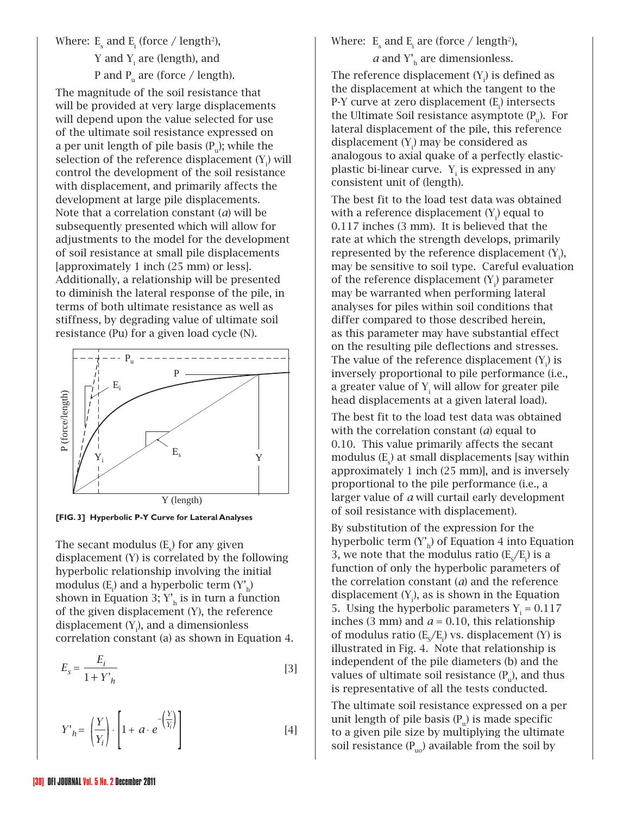Where:  $E_s$  and  $E_i$  (force / length<sup>2</sup>), Y and  $Y_i$  are (length), and P and P<sub>u</sub> are (force / length).

The magnitude of the soil resistance that will be provided at very large displacements will depend upon the value selected for use of the ultimate soil resistance expressed on a per unit length of pile basis  $(P_n)$ ; while the selection of the reference displacement  $(Y_i)$  will control the development of the soil resistance with displacement, and primarily affects the development at large pile displacements. Note that a correlation constant (*a*) will be subsequently presented which will allow for adjustments to the model for the development of soil resistance at small pile displacements [approximately 1 inch (25 mm) or less]. Additionally, a relationship will be presented to diminish the lateral response of the pile, in terms of both ultimate resistance as well as stiffness, by degrading value of ultimate soil resistance (Pu) for a given load cycle (N).



**[FIG. 3] Hyperbolic P-Y Curve for Lateral Analyses**

The secant modulus  $(E_s)$  for any given displacement (Y) is correlated by the following hyperbolic relationship involving the initial modulus  $(E_i)$  and a hyperbolic term  $(Y'_h)$ shown in Equation 3;  $Y<sub>h</sub>$  is in turn a function of the given displacement (Y), the reference displacement  $(Y_i)$ , and a dimensionless correlation constant (a) as shown in Equation 4.

$$
E_s = \frac{E_i}{1 + Y'_h} \tag{3}
$$

$$
Y'_{h} = \left(\frac{Y}{Y_i}\right) \cdot \left[1 + a \cdot e^{-\left(\frac{Y}{Y_i}\right)}\right]
$$
 [4]

### Where:  $E_s$  and  $E_i$  are (force / length<sup>2</sup>),

 $a$  and  $Y<sub>h</sub>$  are dimensionless.

The reference displacement  $(Y_i)$  is defined as the displacement at which the tangent to the P-Y curve at zero displacement (E<sub>i</sub>) intersects the Ultimate Soil resistance asymptote  $(P_n)$ . For lateral displacement of the pile, this reference displacement  $(Y_i)$  may be considered as analogous to axial quake of a perfectly elasticplastic bi-linear curve.  $Y_i$  is expressed in any consistent unit of (length).

The best fit to the load test data was obtained with a reference displacement  $(Y_i)$  equal to 0.117 inches (3 mm). It is believed that the rate at which the strength develops, primarily represented by the reference displacement  $(Y_i)$ , may be sensitive to soil type. Careful evaluation of the reference displacement  $(Y_i)$  parameter may be warranted when performing lateral analyses for piles within soil conditions that differ compared to those described herein, as this parameter may have substantial effect on the resulting pile deflections and stresses. The value of the reference displacement  $(Y_i)$  is inversely proportional to pile performance (i.e., a greater value of  $Y_i$  will allow for greater pile head displacements at a given lateral load).

The best fit to the load test data was obtained with the correlation constant (*a*) equal to 0.10. This value primarily affects the secant modulus  $(E_{s})$  at small displacements [say within approximately 1 inch (25 mm)], and is inversely proportional to the pile performance (i.e., a larger value of *a* will curtail early development of soil resistance with displacement).

By substitution of the expression for the hyperbolic term  $(Y_h)$  of Equation 4 into Equation 3, we note that the modulus ratio  $(E_{S}/E_{i})$  is a function of only the hyperbolic parameters of the correlation constant (*a*) and the reference displacement  $(Y_i)$ , as is shown in the Equation 5. Using the hyperbolic parameters  $Y_i = 0.117$ inches (3 mm) and  $a = 0.10$ , this relationship of modulus ratio ( $E_{S}/E_{i}$ ) vs. displacement (Y) is illustrated in Fig. 4. Note that relationship is independent of the pile diameters (b) and the values of ultimate soil resistance  $(P_n)$ , and thus is representative of all the tests conducted.

The ultimate soil resistance expressed on a per unit length of pile basis  $(P_n)$  is made specific to a given pile size by multiplying the ultimate soil resistance  $(P_{u0})$  available from the soil by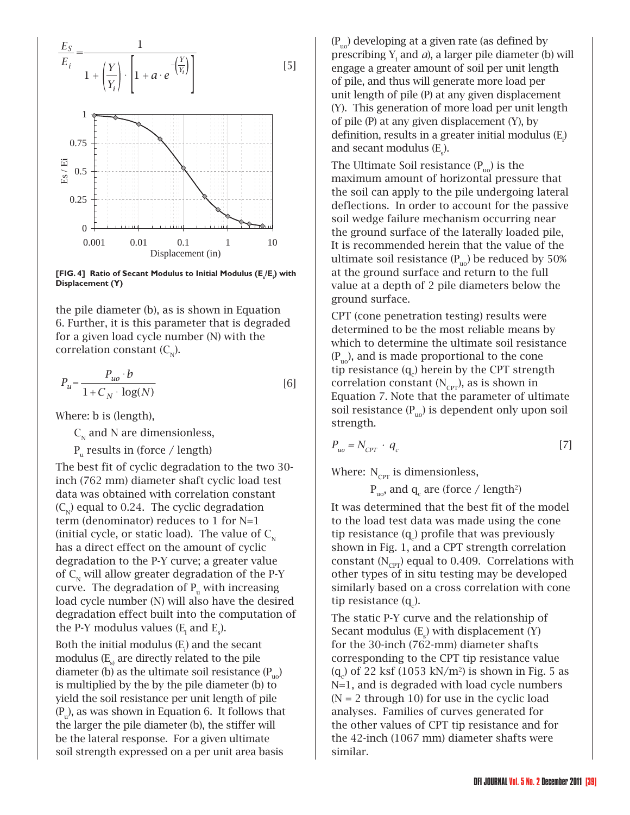

**[FIG. 4] Ratio of Secant Modulus to Initial Modulus (E<sub>s</sub>/E<sub>i</sub>) with Displacement (Y)**

the pile diameter (b), as is shown in Equation 6. Further, it is this parameter that is degraded for a given load cycle number (N) with the correlation constant  $(C_{N})$ .

$$
P_u = \frac{P_{uo} \cdot b}{1 + C_N \cdot \log(N)}\tag{6}
$$

Where: b is (length),

 $C_{N}$  and N are dimensionless,

 $P_{u}$  results in (force / length)

The best fit of cyclic degradation to the two 30 inch (762 mm) diameter shaft cyclic load test data was obtained with correlation constant  $(C_{N})$  equal to 0.24. The cyclic degradation term (denominator) reduces to 1 for N=1 (initial cycle, or static load). The value of  $C_{\text{N}}$ has a direct effect on the amount of cyclic degradation to the P-Y curve; a greater value of  $C_N$  will allow greater degradation of the P-Y curve. The degradation of  $P_u$  with increasing load cycle number (N) will also have the desired degradation effect built into the computation of the P-Y modulus values  $(E_i \text{ and } E_s)$ .

Both the initial modulus  $(E_i)$  and the secant modulus  $(E_{\alpha})$  are directly related to the pile diameter (b) as the ultimate soil resistance  $(P_{\mu\nu})$ is multiplied by the by the pile diameter (b) to yield the soil resistance per unit length of pile  $(P_n)$ , as was shown in Equation 6. It follows that the larger the pile diameter (b), the stiffer will be the lateral response. For a given ultimate soil strength expressed on a per unit area basis

 $(P_{\text{uo}})$  developing at a given rate (as defined by prescribing  $Y_i$  and  $a$ ), a larger pile diameter (b) will engage a greater amount of soil per unit length of pile, and thus will generate more load per unit length of pile (P) at any given displacement (Y). This generation of more load per unit length of pile (P) at any given displacement (Y), by definition, results in a greater initial modulus  $(E_{i}^{\prime})$ and secant modulus  $(E<sub>s</sub>)$ .

The Ultimate Soil resistance  $(P_{\text{no}})$  is the maximum amount of horizontal pressure that the soil can apply to the pile undergoing lateral deflections. In order to account for the passive soil wedge failure mechanism occurring near the ground surface of the laterally loaded pile, It is recommended herein that the value of the ultimate soil resistance  $(P_{\text{uo}})$  be reduced by 50% at the ground surface and return to the full value at a depth of 2 pile diameters below the ground surface.

CPT (cone penetration testing) results were determined to be the most reliable means by which to determine the ultimate soil resistance  $(P_{\text{no}})$ , and is made proportional to the cone tip resistance  $(q_c)$  herein by the CPT strength correlation constant  $(N_{\text{CPT}})$ , as is shown in Equation 7. Note that the parameter of ultimate soil resistance  $(P_{\text{no}})$  is dependent only upon soil strength.

$$
P_{uo} = N_{CPT} \cdot q_c \tag{7}
$$

Where:  $N_{\text{CPT}}$  is dimensionless,

 $P_{uo}$ , and  $q_c$  are (force / length<sup>2</sup>)

It was determined that the best fit of the model to the load test data was made using the cone tip resistance  $(q_c)$  profile that was previously shown in Fig. 1, and a CPT strength correlation constant  $(N_{\text{CPT}})$  equal to 0.409. Correlations with other types of in situ testing may be developed similarly based on a cross correlation with cone tip resistance (q $_{\rm c}$ ).

The static P-Y curve and the relationship of Secant modulus  $(E<sub>s</sub>)$  with displacement  $(Y)$ for the 30-inch (762-mm) diameter shafts corresponding to the CPT tip resistance value  $(q_c)$  of 22 ksf (1053 kN/m<sup>2</sup>) is shown in Fig. 5 as N=1, and is degraded with load cycle numbers  $(N = 2$  through 10) for use in the cyclic load analyses. Families of curves generated for the other values of CPT tip resistance and for the 42-inch (1067 mm) diameter shafts were similar.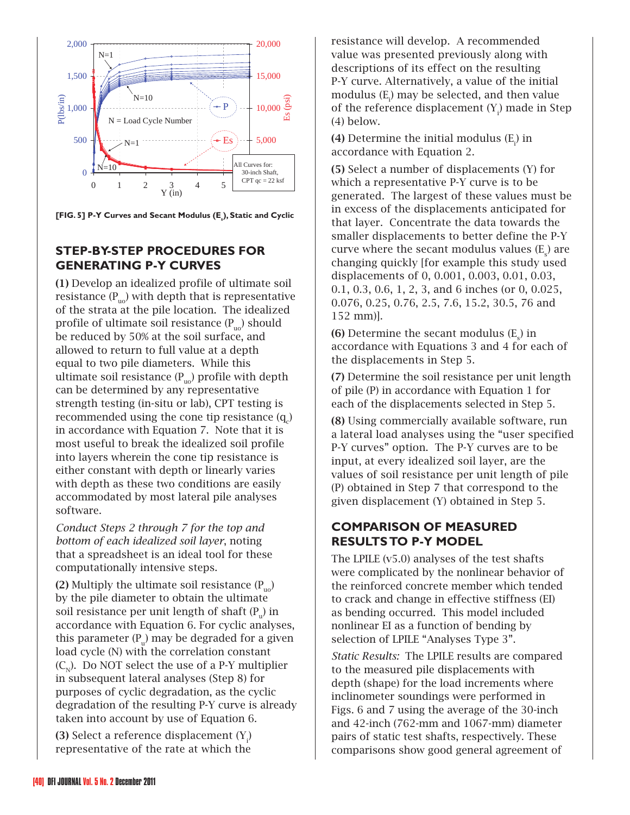

**[FIG. 5] P-Y Curves and Secant Modulus (E<sub>s</sub>), Static and Cyclic** 

#### **STEP-BY-STEP PROCEDURES FOR GENERATING P-Y CURVES**

(1) Develop an idealized profile of ultimate soil resistance  $(P_{\mu\nu})$  with depth that is representative of the strata at the pile location. The idealized profile of ultimate soil resistance  $(P_{\mu_0})$  should be reduced by 50% at the soil surface, and allowed to return to full value at a depth equal to two pile diameters. While this ultimate soil resistance  $(P_{u0})$  profile with depth can be determined by any representative strength testing (in-situ or lab), CPT testing is recommended using the cone tip resistance  $(q_c)$ in accordance with Equation 7. Note that it is most useful to break the idealized soil profile into layers wherein the cone tip resistance is either constant with depth or linearly varies with depth as these two conditions are easily accommodated by most lateral pile analyses software.

*Conduct Steps 2 through 7 for the top and bottom of each idealized soil layer*, noting that a spreadsheet is an ideal tool for these computationally intensive steps.

(2) Multiply the ultimate soil resistance  $(P_{\text{no}})$ by the pile diameter to obtain the ultimate soil resistance per unit length of shaft  $(P_{u})$  in accordance with Equation 6. For cyclic analyses, this parameter  $(P_n)$  may be degraded for a given load cycle (N) with the correlation constant  $(C_{N})$ . Do NOT select the use of a P-Y multiplier in subsequent lateral analyses (Step 8) for purposes of cyclic degradation, as the cyclic degradation of the resulting P-Y curve is already taken into account by use of Equation 6.

**(3)** Select a reference displacement  $(Y_i)$ representative of the rate at which the resistance will develop. A recommended value was presented previously along with descriptions of its effect on the resulting P-Y curve. Alternatively, a value of the initial modulus  $(\mathtt{E}_\text{\tiny{l}})$  may be selected, and then value of the reference displacement  $(Y_i)$  made in Step (4) below.

(4) Determine the initial modulus  $(E_i)$  in accordance with Equation 2.

(5) Select a number of displacements (Y) for which a representative P-Y curve is to be generated. The largest of these values must be in excess of the displacements anticipated for that layer. Concentrate the data towards the smaller displacements to better define the P-Y curve where the secant modulus values  $(E_{s})$  are changing quickly [for example this study used displacements of 0, 0.001, 0.003, 0.01, 0.03, 0.1, 0.3, 0.6, 1, 2, 3, and 6 inches (or 0, 0.025, 0.076, 0.25, 0.76, 2.5, 7.6, 15.2, 30.5, 76 and 152 mm)].

(6) Determine the secant modulus  $(E_{\rm s})$  in accordance with Equations 3 and 4 for each of the displacements in Step 5.

(7) Determine the soil resistance per unit length of pile (P) in accordance with Equation 1 for each of the displacements selected in Step 5.

(8) Using commercially available software, run a lateral load analyses using the "user specified P-Y curves" option. The P-Y curves are to be input, at every idealized soil layer, are the values of soil resistance per unit length of pile (P) obtained in Step 7 that correspond to the given displacement (Y) obtained in Step 5.

#### **COMPARISON OF MEASURED RESULTS TO P-Y MODEL**

The LPILE (v5.0) analyses of the test shafts were complicated by the nonlinear behavior of the reinforced concrete member which tended to crack and change in effective stiffness (EI) as bending occurred. This model included nonlinear EI as a function of bending by selection of LPILE "Analyses Type 3".

*Static Results:* The LPILE results are compared to the measured pile displacements with depth (shape) for the load increments where inclinometer soundings were performed in Figs. 6 and 7 using the average of the 30-inch and 42-inch (762-mm and 1067-mm) diameter pairs of static test shafts, respectively. These comparisons show good general agreement of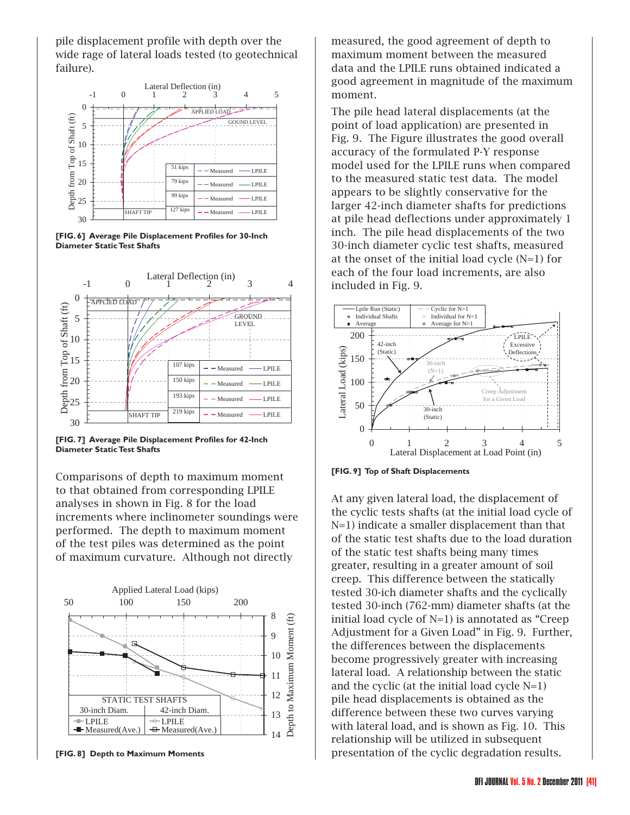pile displacement profile with depth over the wide rage of lateral loads tested (to geotechnical failure).



[FIG. 6] Average Pile Displacement Profiles for 30-Inch **Diameter Static Test Shafts**



[FIG. 7] Average Pile Displacement Profiles for 42-Inch **Diameter Static Test Shafts**

Comparisons of depth to maximum moment to that obtained from corresponding LPILE analyses in shown in Fig. 8 for the load increments where inclinometer soundings were performed. The depth to maximum moment of the test piles was determined as the point of maximum curvature. Although not directly



**[FIG. 8] Depth to Maximum Moments**

measured, the good agreement of depth to maximum moment between the measured data and the LPILE runs obtained indicated a good agreement in magnitude of the maximum moment.

The pile head lateral displacements (at the point of load application) are presented in Fig. 9. The Figure illustrates the good overall accuracy of the formulated P-Y response model used for the LPILE runs when compared to the measured static test data. The model appears to be slightly conservative for the larger 42-inch diameter shafts for predictions at pile head deflections under approximately 1 inch. The pile head displacements of the two 30-inch diameter cyclic test shafts, measured at the onset of the initial load cycle (N=1) for each of the four load increments, are also included in Fig. 9.



**[FIG. 9] Top of Shaft Displacements**

At any given lateral load, the displacement of the cyclic tests shafts (at the initial load cycle of N=1) indicate a smaller displacement than that of the static test shafts due to the load duration of the static test shafts being many times greater, resulting in a greater amount of soil creep. This difference between the statically tested 30-ich diameter shafts and the cyclically tested 30-inch (762-mm) diameter shafts (at the initial load cycle of N=1) is annotated as "Creep Adjustment for a Given Load" in Fig. 9. Further, the differences between the displacements become progressively greater with increasing lateral load. A relationship between the static and the cyclic (at the initial load cycle N=1) pile head displacements is obtained as the difference between these two curves varying with lateral load, and is shown as Fig. 10. This relationship will be utilized in subsequent presentation of the cyclic degradation results.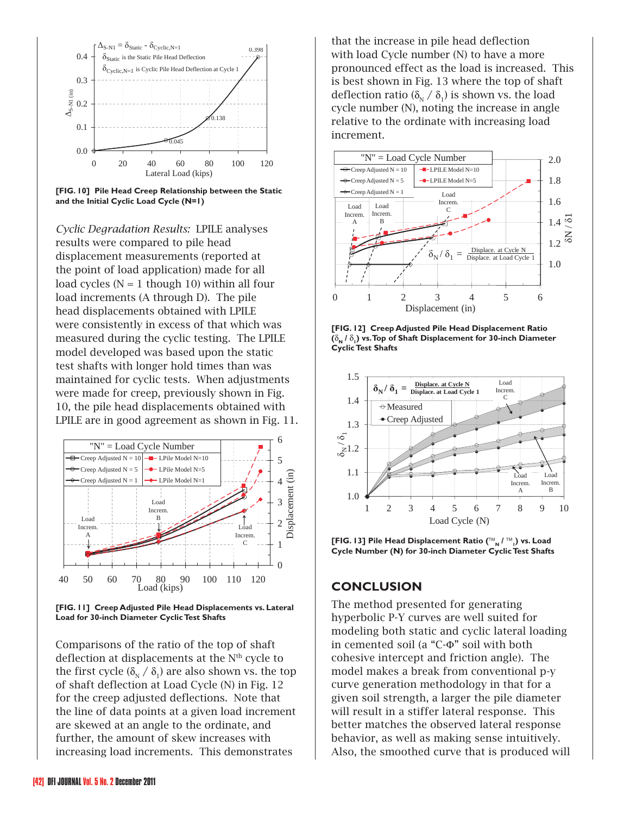

**[FIG. 10] Pile Head Creep Relationship between the Static and the Initial Cyclic Load Cycle (N=1)**

*Cyclic Degradation Results:* LPILE analyses results were compared to pile head displacement measurements (reported at the point of load application) made for all load cycles  $(N = 1$  though 10) within all four load increments (A through D). The pile head displacements obtained with LPILE were consistently in excess of that which was measured during the cyclic testing. The LPILE model developed was based upon the static test shafts with longer hold times than was maintained for cyclic tests. When adjustments were made for creep, previously shown in Fig. 10, the pile head displacements obtained with LPILE are in good agreement as shown in Fig. 11.



**[FIG. 11] Creep Adjusted Pile Head Displacements vs. Lateral Load for 30-inch Diameter Cyclic Test Shafts**

Comparisons of the ratio of the top of shaft deflection at displacements at the N<sup>th</sup> cycle to the first cycle ( $\delta_{N}$  /  $\delta_{1}$ ) are also shown vs. the top of shaft deflection at Load Cycle (N) in Fig. 12 for the creep adjusted deflections. Note that the line of data points at a given load increment are skewed at an angle to the ordinate, and further, the amount of skew increases with increasing load increments. This demonstrates

that the increase in pile head deflection with load Cycle number (N) to have a more pronounced effect as the load is increased. This is best shown in Fig. 13 where the top of shaft deflection ratio ( $\delta_{N}$  /  $\delta_{1}$ ) is shown vs. the load cycle number (N), noting the increase in angle relative to the ordinate with increasing load increment.







**[FIG. 13] Pile Head Displacement Ratio (**™**N /** ™**<sup>1</sup> ) vs. Load Cycle Number (N) for 30-inch Diameter Cyclic Test Shafts**

#### **CONCLUSION**

The method presented for generating hyperbolic P-Y curves are well suited for modeling both static and cyclic lateral loading in cemented soil (a "C-Φ" soil with both cohesive intercept and friction angle). The model makes a break from conventional p-y curve generation methodology in that for a given soil strength, a larger the pile diameter will result in a stiffer lateral response. This better matches the observed lateral response behavior, as well as making sense intuitively. Also, the smoothed curve that is produced will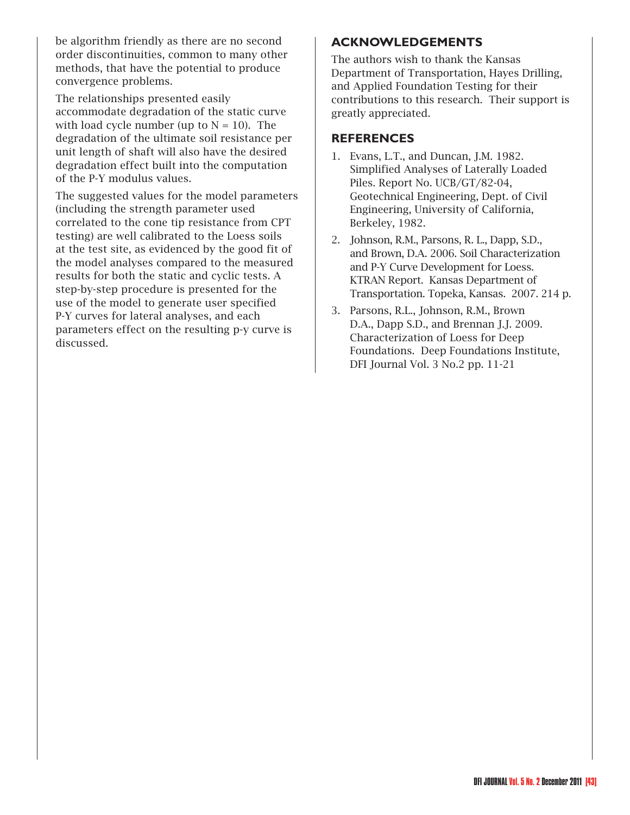be algorithm friendly as there are no second order discontinuities, common to many other methods, that have the potential to produce convergence problems.

The relationships presented easily accommodate degradation of the static curve with load cycle number (up to  $N = 10$ ). The degradation of the ultimate soil resistance per unit length of shaft will also have the desired degradation effect built into the computation of the P-Y modulus values.

The suggested values for the model parameters (including the strength parameter used correlated to the cone tip resistance from CPT testing) are well calibrated to the Loess soils at the test site, as evidenced by the good fit of the model analyses compared to the measured results for both the static and cyclic tests. A step-by-step procedure is presented for the use of the model to generate user specified P-Y curves for lateral analyses, and each parameters effect on the resulting p-y curve is discussed.

#### **ACKNOWLEDGEMENTS**

The authors wish to thank the Kansas Department of Transportation, Hayes Drilling, and Applied Foundation Testing for their contributions to this research. Their support is greatly appreciated.

#### **REFERENCES**

- 1. Evans, L.T., and Duncan, J.M. 1982. Simplified Analyses of Laterally Loaded Piles. Report No. UCB/GT/82-04, Geotechnical Engineering, Dept. of Civil Engineering, University of California, Berkeley, 1982.
- 2. Johnson, R.M., Parsons, R. L., Dapp, S.D., and Brown, D.A. 2006. Soil Characterization and P-Y Curve Development for Loess. KTRAN Report. Kansas Department of Transportation. Topeka, Kansas. 2007. 214 p.
- 3. Parsons, R.L., Johnson, R.M., Brown D.A., Dapp S.D., and Brennan J.J. 2009. Characterization of Loess for Deep Foundations. Deep Foundations Institute, DFI Journal Vol. 3 No.2 pp. 11-21